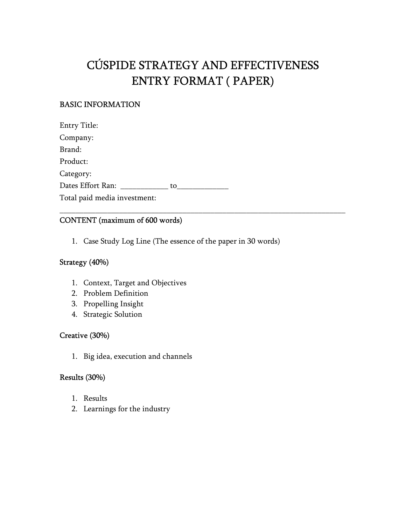# CÚSPIDE STRATEGY AND EFFECTIVENESS ENTRY FORMAT ( PAPER)

\_\_\_\_\_\_\_\_\_\_\_\_\_\_\_\_\_\_\_\_\_\_\_\_\_\_\_\_\_\_\_\_\_\_\_\_\_\_\_\_\_\_\_\_\_\_\_\_\_\_\_\_\_\_\_\_\_\_\_\_\_\_\_\_\_\_\_\_\_\_\_\_

# BASIC INFORMATION

Entry Title: Company: Brand: Product: Category: Dates Effort Ran: \_\_\_\_\_\_\_\_\_\_\_\_ to\_\_\_\_\_\_\_\_\_\_\_\_\_ Total paid media investment:

# CONTENT (maximum of 600 words)

1. Case Study Log Line (The essence of the paper in 30 words)

## Strategy (40%)

- 1. Context, Target and Objectives
- 2. Problem Definition
- 3. Propelling Insight
- 4. Strategic Solution

#### Creative (30%)

1. Big idea, execution and channels

#### Results (30%)

- 1. Results
- 2. Learnings for the industry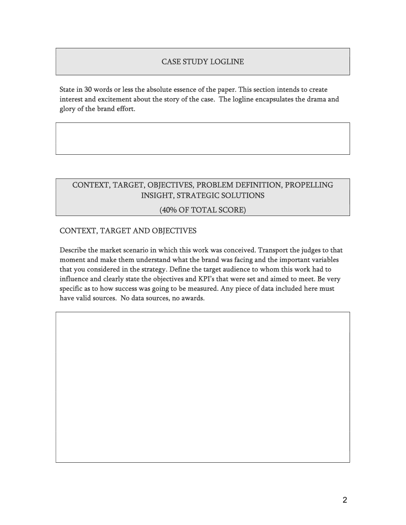## CASE STUDY LOGLINE

State in 30 words or less the absolute essence of the paper. This section intends to create interest and excitement about the story of the case. The logline encapsulates the drama and glory of the brand effort.

# CONTEXT, TARGET, OBJECTIVES, PROBLEM DEFINITION, PROPELLING INSIGHT, STRATEGIC SOLUTIONS

## (40% OF TOTAL SCORE)

## CONTEXT, TARGET AND OBJECTIVES

Describe the market scenario in which this work was conceived. Transport the judges to that moment and make them understand what the brand was facing and the important variables that you considered in the strategy. Define the target audience to whom this work had to influence and clearly state the objectives and KPI's that were set and aimed to meet. Be very specific as to how success was going to be measured. Any piece of data included here must have valid sources. No data sources, no awards.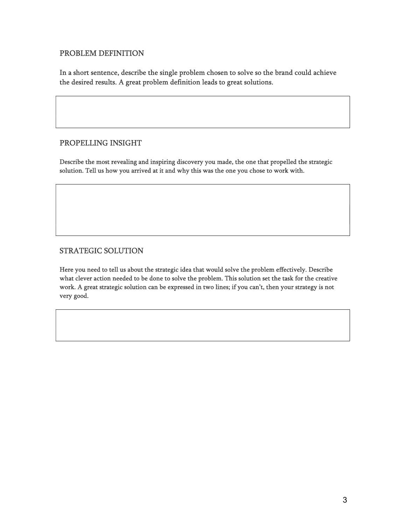#### PROBLEM DEFINITION

In a short sentence, describe the single problem chosen to solve so the brand could achieve the desired results. A great problem definition leads to great solutions.

#### PROPELLING INSIGHT

Describe the most revealing and inspiring discovery you made, the one that propelled the strategic solution. Tell us how you arrived at it and why this was the one you chose to work with.

#### STRATEGIC SOLUTION

Here you need to tell us about the strategic idea that would solve the problem effectively. Describe what clever action needed to be done to solve the problem. This solution set the task for the creative work. A great strategic solution can be expressed in two lines; if you can't, then your strategy is not very good.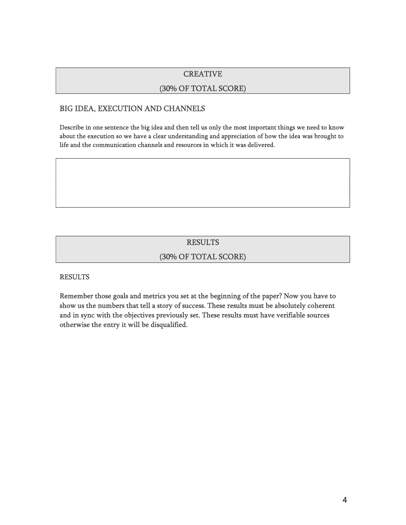#### **CREATIVE**

#### (30% OF TOTAL SCORE)

#### BIG IDEA, EXECUTION AND CHANNELS

Describe in one sentence the big idea and then tell us only the most important things we need to know about the execution so we have a clear understanding and appreciation of how the idea was brought to life and the communication channels and resources in which it was delivered.

## RESULTS

#### (30% OF TOTAL SCORE)

#### RESULTS

Remember those goals and metrics you set at the beginning of the paper? Now you have to show us the numbers that tell a story of success. These results must be absolutely coherent and in sync with the objectives previously set. These results must have verifiable sources otherwise the entry it will be disqualified.